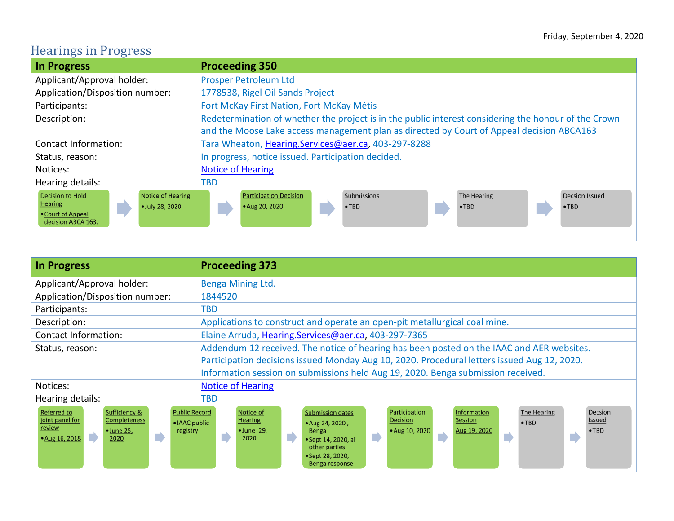## Hearings in Progress

| <b>In Progress</b>                                                                                                                  | <b>Proceeding 350</b>                                                                                                                               |
|-------------------------------------------------------------------------------------------------------------------------------------|-----------------------------------------------------------------------------------------------------------------------------------------------------|
| Applicant/Approval holder:                                                                                                          | <b>Prosper Petroleum Ltd</b>                                                                                                                        |
| Application/Disposition number:                                                                                                     | 1778538, Rigel Oil Sands Project                                                                                                                    |
| Participants:                                                                                                                       | Fort McKay First Nation, Fort McKay Métis                                                                                                           |
| Description:                                                                                                                        | Redetermination of whether the project is in the public interest considering the honour of the Crown                                                |
|                                                                                                                                     | and the Moose Lake access management plan as directed by Court of Appeal decision ABCA163                                                           |
| <b>Contact Information:</b>                                                                                                         | Tara Wheaton, Hearing.Services@aer.ca, 403-297-8288                                                                                                 |
| Status, reason:                                                                                                                     | In progress, notice issued. Participation decided.                                                                                                  |
| Notices:                                                                                                                            | <b>Notice of Hearing</b>                                                                                                                            |
| Hearing details:                                                                                                                    | TBD                                                                                                                                                 |
| <b>Decision to Hold</b><br><b>Notice of Hearing</b><br><b>Hearing</b><br>· July 28, 2020<br>• Court of Appeal<br>decision ABCA 163. | Submissions<br>The Hearing<br><b>Participation Decision</b><br><b>Decsion Issued</b><br>$\cdot$ TBD<br>$\cdot$ TBD<br>$\cdot$ TBD<br>• Aug 20, 2020 |

| <b>In Progress</b>                                                                                                                                                                    | <b>Proceeding 373</b>                                                                                                                                                                                                                                                                                                                                                                 |
|---------------------------------------------------------------------------------------------------------------------------------------------------------------------------------------|---------------------------------------------------------------------------------------------------------------------------------------------------------------------------------------------------------------------------------------------------------------------------------------------------------------------------------------------------------------------------------------|
| Applicant/Approval holder:                                                                                                                                                            | Benga Mining Ltd.                                                                                                                                                                                                                                                                                                                                                                     |
| Application/Disposition number:                                                                                                                                                       | 1844520                                                                                                                                                                                                                                                                                                                                                                               |
| Participants:                                                                                                                                                                         | TBD                                                                                                                                                                                                                                                                                                                                                                                   |
| Description:                                                                                                                                                                          | Applications to construct and operate an open-pit metallurgical coal mine.                                                                                                                                                                                                                                                                                                            |
| <b>Contact Information:</b>                                                                                                                                                           | Elaine Arruda, Hearing.Services@aer.ca, 403-297-7365                                                                                                                                                                                                                                                                                                                                  |
| Status, reason:                                                                                                                                                                       | Addendum 12 received. The notice of hearing has been posted on the IAAC and AER websites.                                                                                                                                                                                                                                                                                             |
|                                                                                                                                                                                       | Participation decisions issued Monday Aug 10, 2020. Procedural letters issued Aug 12, 2020.                                                                                                                                                                                                                                                                                           |
|                                                                                                                                                                                       | Information session on submissions held Aug 19, 2020. Benga submission received.                                                                                                                                                                                                                                                                                                      |
| Notices:                                                                                                                                                                              | <b>Notice of Hearing</b>                                                                                                                                                                                                                                                                                                                                                              |
| Hearing details:                                                                                                                                                                      | TBD                                                                                                                                                                                                                                                                                                                                                                                   |
| <b>Referred to</b><br>Sufficiency &<br><b>Public Record</b><br>joint panel for<br>Completeness<br>• IAAC public<br>review<br>registry<br>$\bullet$ June 25,<br>• Aug 16, 2018<br>2020 | The Hearing<br>Information<br>Notice of<br>Participation<br>Decsion<br><b>Submission dates</b><br><b>Hearing</b><br>Issued<br><b>Decision</b><br>Session<br>$\cdot$ TBD<br>• Aug 24, 2020,<br>$\bullet$ June 29,<br>• Aug 10, 2020<br>Aug 19, 2020<br>$\bullet$ TBD<br>Benga<br>$\blacksquare$<br>2020<br>• Sept 14, 2020, all<br>other parties<br>• Sept 28, 2020,<br>Benga response |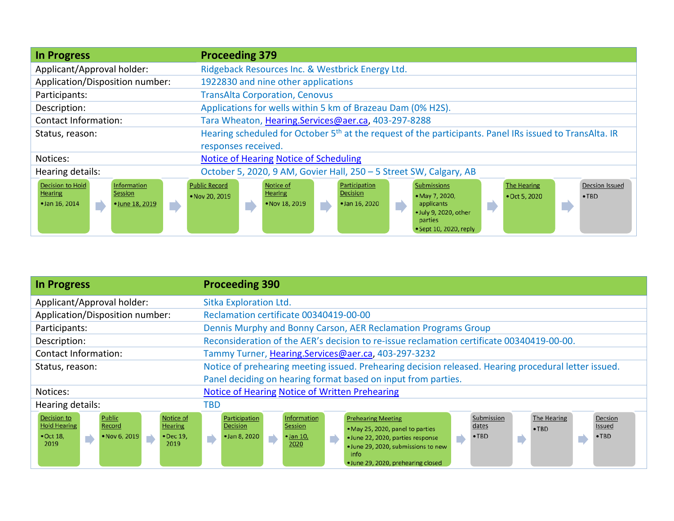| <b>In Progress</b>                                                                                                   | <b>Proceeding 379</b>                                                                                                                                                                                                                                                                                                                                          |
|----------------------------------------------------------------------------------------------------------------------|----------------------------------------------------------------------------------------------------------------------------------------------------------------------------------------------------------------------------------------------------------------------------------------------------------------------------------------------------------------|
| Applicant/Approval holder:                                                                                           | Ridgeback Resources Inc. & Westbrick Energy Ltd.                                                                                                                                                                                                                                                                                                               |
| Application/Disposition number:                                                                                      | 1922830 and nine other applications                                                                                                                                                                                                                                                                                                                            |
| Participants:                                                                                                        | <b>TransAlta Corporation, Cenovus</b>                                                                                                                                                                                                                                                                                                                          |
| Description:                                                                                                         | Applications for wells within 5 km of Brazeau Dam (0% H2S).                                                                                                                                                                                                                                                                                                    |
| <b>Contact Information:</b>                                                                                          | Tara Wheaton, Hearing.Services@aer.ca, 403-297-8288                                                                                                                                                                                                                                                                                                            |
| Status, reason:                                                                                                      | Hearing scheduled for October 5 <sup>th</sup> at the request of the participants. Panel IRs issued to TransAlta. IR                                                                                                                                                                                                                                            |
|                                                                                                                      | responses received.                                                                                                                                                                                                                                                                                                                                            |
| Notices:                                                                                                             | Notice of Hearing Notice of Scheduling                                                                                                                                                                                                                                                                                                                         |
| Hearing details:                                                                                                     | October 5, 2020, 9 AM, Govier Hall, 250 - 5 Street SW, Calgary, AB                                                                                                                                                                                                                                                                                             |
| <b>Decision to Hold</b><br>Information<br><b>Hearing</b><br><b>Session</b><br>· Jan 16, 2014<br>• June 18, 2019<br>D | Notice of<br><b>Submissions</b><br><b>Public Record</b><br>Participation<br><b>Decsion Issued</b><br><b>The Hearing</b><br>Decision<br><b>Hearing</b><br>• Nov 20, 2019<br>• May 7, 2020,<br>• Oct 5, 2020<br>$\cdot$ TBD<br>• Nov 18, 2019<br>$\bullet$ Jan 16, 2020<br>applicants<br>Г<br>• July 9, 2020, other<br>parties<br>$\bullet$ Sept 10, 2020, reply |

| <b>In Progress</b>                                                                                                                                                         | <b>Proceeding 390</b>                                                                                                                                                                                                                                                                                                                                                                                                                                            |
|----------------------------------------------------------------------------------------------------------------------------------------------------------------------------|------------------------------------------------------------------------------------------------------------------------------------------------------------------------------------------------------------------------------------------------------------------------------------------------------------------------------------------------------------------------------------------------------------------------------------------------------------------|
| Applicant/Approval holder:                                                                                                                                                 | Sitka Exploration Ltd.                                                                                                                                                                                                                                                                                                                                                                                                                                           |
| Application/Disposition number:                                                                                                                                            | Reclamation certificate 00340419-00-00                                                                                                                                                                                                                                                                                                                                                                                                                           |
| Participants:                                                                                                                                                              | Dennis Murphy and Bonny Carson, AER Reclamation Programs Group                                                                                                                                                                                                                                                                                                                                                                                                   |
| Description:                                                                                                                                                               | Reconsideration of the AER's decision to re-issue reclamation certificate 00340419-00-00.                                                                                                                                                                                                                                                                                                                                                                        |
| <b>Contact Information:</b>                                                                                                                                                | Tammy Turner, Hearing.Services@aer.ca, 403-297-3232                                                                                                                                                                                                                                                                                                                                                                                                              |
| Status, reason:                                                                                                                                                            | Notice of prehearing meeting issued. Prehearing decision released. Hearing procedural letter issued.                                                                                                                                                                                                                                                                                                                                                             |
|                                                                                                                                                                            | Panel deciding on hearing format based on input from parties.                                                                                                                                                                                                                                                                                                                                                                                                    |
| Notices:                                                                                                                                                                   | Notice of Hearing Notice of Written Prehearing                                                                                                                                                                                                                                                                                                                                                                                                                   |
| Hearing details:                                                                                                                                                           | TBD                                                                                                                                                                                                                                                                                                                                                                                                                                                              |
| Public<br>Decision to<br>Notice of<br><b>Hold Hearing</b><br>Record<br><b>Hearing</b><br>• Nov 6, 2019<br>$\bullet$ Oct 18,<br>• Dec 19,<br>$\blacksquare$<br>2019<br>2019 | Submission<br>Information<br>The Hearing<br>Participation<br>Decsion<br><b>Prehearing Meeting</b><br><b>Session</b><br><b>Decision</b><br>Issued<br>dates<br>$\cdot$ TBD<br>• May 25, 2020, panel to parties<br>• Jan 8, 2020<br>$\cdot$ TBD<br>• Jan 10,<br>$\cdot$ TBD<br>$\blacksquare$<br>· June 22, 2020, parties response<br>$\blacksquare$<br>$\blacksquare$<br>2020<br>. June 29, 2020, submissions to new<br>info<br>• June 29, 2020, prehearing closed |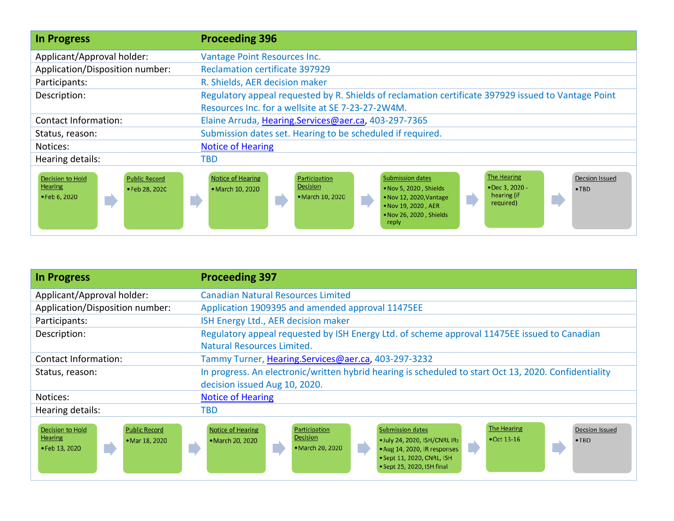| <b>In Progress</b>                                                                                  | <b>Proceeding 396</b>                                                                                                                                                                                                                                                                                                                                       |
|-----------------------------------------------------------------------------------------------------|-------------------------------------------------------------------------------------------------------------------------------------------------------------------------------------------------------------------------------------------------------------------------------------------------------------------------------------------------------------|
| Applicant/Approval holder:                                                                          | Vantage Point Resources Inc.                                                                                                                                                                                                                                                                                                                                |
| Application/Disposition number:                                                                     | <b>Reclamation certificate 397929</b>                                                                                                                                                                                                                                                                                                                       |
| Participants:                                                                                       | R. Shields, AER decision maker                                                                                                                                                                                                                                                                                                                              |
| Description:                                                                                        | Regulatory appeal requested by R. Shields of reclamation certificate 397929 issued to Vantage Point                                                                                                                                                                                                                                                         |
|                                                                                                     | Resources Inc. for a wellsite at SE 7-23-27-2W4M.                                                                                                                                                                                                                                                                                                           |
| Contact Information:                                                                                | Elaine Arruda, Hearing.Services@aer.ca, 403-297-7365                                                                                                                                                                                                                                                                                                        |
| Status, reason:                                                                                     | Submission dates set. Hearing to be scheduled if required.                                                                                                                                                                                                                                                                                                  |
| Notices:                                                                                            | <b>Notice of Hearing</b>                                                                                                                                                                                                                                                                                                                                    |
| Hearing details:                                                                                    | TBD                                                                                                                                                                                                                                                                                                                                                         |
| <b>Decision to Hold</b><br><b>Public Record</b><br><b>Hearing</b><br>•Feb 28, 2020<br>• Feb 6, 2020 | <b>The Hearing</b><br><b>Notice of Hearing</b><br>Participation<br><b>Submission dates</b><br>Decsion Issued<br><b>Decision</b><br>• Dec 3, 2020 -<br>. Nov 5, 2020, Shields<br>• March 10, 2020<br>$\cdot$ TBD<br>hearing (if<br>• March 10, 2020<br>• Nov 12, 2020, Vantage<br>m)<br>required)<br>. Nov 19, 2020, AER<br>. Nov 26, 2020, Shields<br>reply |

| <b>In Progress</b>                                                                                    | <b>Proceeding 397</b>                                                                                                                                                                                                                                                                                                                      |
|-------------------------------------------------------------------------------------------------------|--------------------------------------------------------------------------------------------------------------------------------------------------------------------------------------------------------------------------------------------------------------------------------------------------------------------------------------------|
| Applicant/Approval holder:                                                                            | <b>Canadian Natural Resources Limited</b>                                                                                                                                                                                                                                                                                                  |
| Application/Disposition number:                                                                       | Application 1909395 and amended approval 11475EE                                                                                                                                                                                                                                                                                           |
| Participants:                                                                                         | ISH Energy Ltd., AER decision maker                                                                                                                                                                                                                                                                                                        |
| Description:                                                                                          | Regulatory appeal requested by ISH Energy Ltd. of scheme approval 11475EE issued to Canadian<br>Natural Resources Limited.                                                                                                                                                                                                                 |
| Contact Information:                                                                                  | Tammy Turner, Hearing.Services@aer.ca, 403-297-3232                                                                                                                                                                                                                                                                                        |
| Status, reason:                                                                                       | In progress. An electronic/written hybrid hearing is scheduled to start Oct 13, 2020. Confidentiality                                                                                                                                                                                                                                      |
|                                                                                                       | decision issued Aug 10, 2020.                                                                                                                                                                                                                                                                                                              |
| Notices:                                                                                              | <b>Notice of Hearing</b>                                                                                                                                                                                                                                                                                                                   |
| Hearing details:                                                                                      | TBD                                                                                                                                                                                                                                                                                                                                        |
| <b>Decision to Hold</b><br><b>Public Record</b><br><b>Hearing</b><br>• Mar 18, 2020<br>• Feb 13, 2020 | <b>The Hearing</b><br><b>Notice of Hearing</b><br><b>Submission dates</b><br><b>Decsion Issued</b><br>Participation<br>Decision<br>$\bullet$ Oct 13-16<br>. July 24, 2020, ISH/CNRL IRs<br>• March 20, 2020<br>$\cdot$ TBD<br>• March 20, 2020<br>. Aug 14, 2020, IR responses<br>• Sept 11, 2020, CNRL, ISH<br>• Sept 25, 2020, ISH final |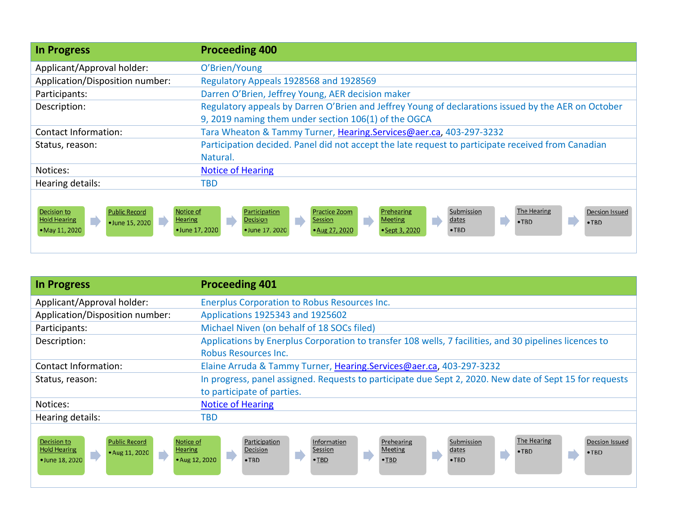| <b>In Progress</b>                                                                                                                              | <b>Proceeding 400</b>                                                                                                                                                                                                                                                                        |
|-------------------------------------------------------------------------------------------------------------------------------------------------|----------------------------------------------------------------------------------------------------------------------------------------------------------------------------------------------------------------------------------------------------------------------------------------------|
| Applicant/Approval holder:                                                                                                                      | O'Brien/Young                                                                                                                                                                                                                                                                                |
| Application/Disposition number:                                                                                                                 | Regulatory Appeals 1928568 and 1928569                                                                                                                                                                                                                                                       |
| Participants:                                                                                                                                   | Darren O'Brien, Jeffrey Young, AER decision maker                                                                                                                                                                                                                                            |
| Description:                                                                                                                                    | Regulatory appeals by Darren O'Brien and Jeffrey Young of declarations issued by the AER on October                                                                                                                                                                                          |
|                                                                                                                                                 | 9, 2019 naming them under section 106(1) of the OGCA                                                                                                                                                                                                                                         |
| Contact Information:                                                                                                                            | Tara Wheaton & Tammy Turner, Hearing.Services@aer.ca, 403-297-3232                                                                                                                                                                                                                           |
| Status, reason:                                                                                                                                 | Participation decided. Panel did not accept the late request to participate received from Canadian                                                                                                                                                                                           |
|                                                                                                                                                 | Natural.                                                                                                                                                                                                                                                                                     |
| Notices:                                                                                                                                        | <b>Notice of Hearing</b>                                                                                                                                                                                                                                                                     |
| Hearing details:                                                                                                                                | TBD                                                                                                                                                                                                                                                                                          |
| <b>Public Record</b><br>Notice of<br><b>Decision to</b><br><b>Hold Hearing</b><br><b>Hearing</b><br>D<br>m,<br>•June 15, 2020<br>• May 11, 2020 | The Hearing<br>Submission<br><b>Practice Zoom</b><br>Prehearing<br><b>Decsion Issued</b><br>Participation<br>dates<br>T<br>E<br><b>Decision</b><br>Meeting<br>Session<br>$\cdot$ TBD<br>$\cdot$ TBD<br>• Aug 27, 2020<br>• June 17, 2020<br>• June 17, 2020<br>• Sept 3, 2020<br>$\cdot$ TBD |

| <b>In Progress</b>                                                                                                                    | <b>Proceeding 401</b>                                                                                                                                                                                                                                            |
|---------------------------------------------------------------------------------------------------------------------------------------|------------------------------------------------------------------------------------------------------------------------------------------------------------------------------------------------------------------------------------------------------------------|
| Applicant/Approval holder:                                                                                                            | <b>Enerplus Corporation to Robus Resources Inc.</b>                                                                                                                                                                                                              |
| Application/Disposition number:                                                                                                       | Applications 1925343 and 1925602                                                                                                                                                                                                                                 |
| Participants:                                                                                                                         | Michael Niven (on behalf of 18 SOCs filed)                                                                                                                                                                                                                       |
| Description:                                                                                                                          | Applications by Enerplus Corporation to transfer 108 wells, 7 facilities, and 30 pipelines licences to                                                                                                                                                           |
|                                                                                                                                       | <b>Robus Resources Inc.</b>                                                                                                                                                                                                                                      |
| Contact Information:                                                                                                                  | Elaine Arruda & Tammy Turner, Hearing.Services@aer.ca, 403-297-3232                                                                                                                                                                                              |
| Status, reason:                                                                                                                       | In progress, panel assigned. Requests to participate due Sept 2, 2020. New date of Sept 15 for requests                                                                                                                                                          |
|                                                                                                                                       | to participate of parties.                                                                                                                                                                                                                                       |
| Notices:                                                                                                                              | <b>Notice of Hearing</b>                                                                                                                                                                                                                                         |
| Hearing details:                                                                                                                      | TBD                                                                                                                                                                                                                                                              |
| <b>Decision to</b><br>Notice of<br><b>Public Record</b><br><b>Hold Hearing</b><br><b>Hearing</b><br>• Aug 11, 2020<br>• June 18, 2020 | The Hearing<br>Submission<br><b>Decsion Issued</b><br>Information<br>Prehearing<br>Participation<br>Decision<br>Session<br>Meeting<br>dates<br>$\bullet$ TBD<br>$\cdot$ TBD<br>D<br>$\bullet$ TBD<br>• Aug 12, 2020<br>$\cdot$ TBD<br>$\cdot$ TBD<br>$\cdot$ TBD |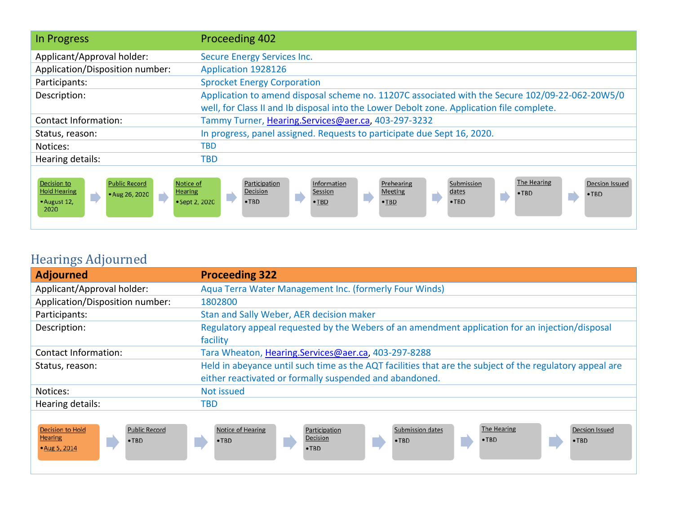| In Progress                                                                                                                                           | Proceeding 402                                                                                                                                                                                                                                                                     |
|-------------------------------------------------------------------------------------------------------------------------------------------------------|------------------------------------------------------------------------------------------------------------------------------------------------------------------------------------------------------------------------------------------------------------------------------------|
| Applicant/Approval holder:                                                                                                                            | Secure Energy Services Inc.                                                                                                                                                                                                                                                        |
| Application/Disposition number:                                                                                                                       | Application 1928126                                                                                                                                                                                                                                                                |
| Participants:                                                                                                                                         | <b>Sprocket Energy Corporation</b>                                                                                                                                                                                                                                                 |
| Description:                                                                                                                                          | Application to amend disposal scheme no. 11207C associated with the Secure 102/09-22-062-20W5/0<br>well, for Class II and Ib disposal into the Lower Debolt zone. Application file complete.                                                                                       |
| <b>Contact Information:</b>                                                                                                                           | Tammy Turner, Hearing.Services@aer.ca, 403-297-3232                                                                                                                                                                                                                                |
| Status, reason:                                                                                                                                       | In progress, panel assigned. Requests to participate due Sept 16, 2020.                                                                                                                                                                                                            |
| Notices:                                                                                                                                              | <b>TBD</b>                                                                                                                                                                                                                                                                         |
| Hearing details:                                                                                                                                      | TBD                                                                                                                                                                                                                                                                                |
| <b>Public Record</b><br>Decision to<br>Notice of<br><b>Hold Hearing</b><br><b>Hearing</b><br>• Aug 26, 2020<br>$\blacksquare$<br>• August 12,<br>2020 | The Hearing<br>Submission<br>Participation<br>Information<br>Prehearing<br><b>Decsion Issued</b><br>Decision<br>Session<br><b>Meeting</b><br>dates<br>$\cdot$ TBD<br>$\cdot$ TBD<br>$\blacksquare$<br>$\bullet$ TBD<br>• Sept 2, 2020<br>$\cdot$ TBD<br>$\cdot$ TBD<br>$\cdot$ TBD |

## Hearings Adjourned

| <b>Adjourned</b>                                                                                  | <b>Proceeding 322</b>                                                                                                                                                                 |
|---------------------------------------------------------------------------------------------------|---------------------------------------------------------------------------------------------------------------------------------------------------------------------------------------|
| Applicant/Approval holder:                                                                        | Aqua Terra Water Management Inc. (formerly Four Winds)                                                                                                                                |
| Application/Disposition number:                                                                   | 1802800                                                                                                                                                                               |
| Participants:                                                                                     | Stan and Sally Weber, AER decision maker                                                                                                                                              |
| Description:                                                                                      | Regulatory appeal requested by the Webers of an amendment application for an injection/disposal                                                                                       |
|                                                                                                   | facility                                                                                                                                                                              |
| Contact Information:                                                                              | Tara Wheaton, Hearing.Services@aer.ca, 403-297-8288                                                                                                                                   |
| Status, reason:                                                                                   | Held in abeyance until such time as the AQT facilities that are the subject of the regulatory appeal are                                                                              |
|                                                                                                   | either reactivated or formally suspended and abandoned.                                                                                                                               |
| Notices:                                                                                          | Not issued                                                                                                                                                                            |
| Hearing details:                                                                                  | TBD                                                                                                                                                                                   |
| <b>Public Record</b><br><b>Decision to Hold</b><br><b>Hearing</b><br>$\cdot$ TBD<br>• Aug 5, 2014 | The Hearing<br>Submission dates<br>Notice of Hearing<br><b>Decsion Issued</b><br>Participation<br>Decision<br>$\cdot$ TBD<br>$\cdot$ TBD<br>$\cdot$ TBD<br>$\cdot$ TBD<br>$\cdot$ TBD |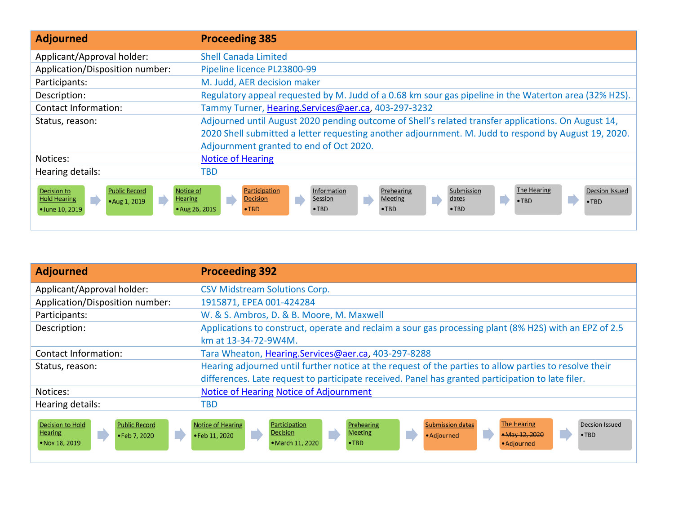| <b>Adjourned</b>                                                                                                                                            | <b>Proceeding 385</b>                                                                                                                                                                                                                                                                                       |
|-------------------------------------------------------------------------------------------------------------------------------------------------------------|-------------------------------------------------------------------------------------------------------------------------------------------------------------------------------------------------------------------------------------------------------------------------------------------------------------|
| Applicant/Approval holder:                                                                                                                                  | <b>Shell Canada Limited</b>                                                                                                                                                                                                                                                                                 |
| Application/Disposition number:                                                                                                                             | Pipeline licence PL23800-99                                                                                                                                                                                                                                                                                 |
| Participants:                                                                                                                                               | M. Judd, AER decision maker                                                                                                                                                                                                                                                                                 |
| Description:                                                                                                                                                | Regulatory appeal requested by M. Judd of a 0.68 km sour gas pipeline in the Waterton area (32% H2S).                                                                                                                                                                                                       |
| <b>Contact Information:</b>                                                                                                                                 | Tammy Turner, Hearing.Services@aer.ca, 403-297-3232                                                                                                                                                                                                                                                         |
| Status, reason:                                                                                                                                             | Adjourned until August 2020 pending outcome of Shell's related transfer applications. On August 14,                                                                                                                                                                                                         |
|                                                                                                                                                             | 2020 Shell submitted a letter requesting another adjournment. M. Judd to respond by August 19, 2020.                                                                                                                                                                                                        |
|                                                                                                                                                             | Adjournment granted to end of Oct 2020.                                                                                                                                                                                                                                                                     |
| Notices:                                                                                                                                                    | <b>Notice of Hearing</b>                                                                                                                                                                                                                                                                                    |
| Hearing details:                                                                                                                                            | TBD                                                                                                                                                                                                                                                                                                         |
| <b>Public Record</b><br>Notice of<br><b>Decision to</b><br><b>Hold Hearing</b><br>$\blacksquare$<br><b>Hearing</b><br>T)<br>• Aug 1, 2019<br>•June 10, 2019 | The Hearing<br>Submission<br><b>Decsion Issued</b><br>Participation<br>Information<br>Prehearing<br>dates<br>$\overline{\phantom{a}}$<br><b>Decision</b><br>Session<br><b>Meeting</b><br>n<br>n<br>$\cdot$ TBD<br>$\cdot$ TBD<br>• Aug 26, 2019<br>$\cdot$ TBD<br>$\cdot$ TBD<br>$\cdot$ TBD<br>$\cdot$ TBD |

| <b>Adjourned</b>                                                                                           | <b>Proceeding 392</b>                                                                                                                                                                                                                                                      |
|------------------------------------------------------------------------------------------------------------|----------------------------------------------------------------------------------------------------------------------------------------------------------------------------------------------------------------------------------------------------------------------------|
| Applicant/Approval holder:                                                                                 | <b>CSV Midstream Solutions Corp.</b>                                                                                                                                                                                                                                       |
| Application/Disposition number:                                                                            | 1915871, EPEA 001-424284                                                                                                                                                                                                                                                   |
| Participants:                                                                                              | W. & S. Ambros, D. & B. Moore, M. Maxwell                                                                                                                                                                                                                                  |
| Description:                                                                                               | Applications to construct, operate and reclaim a sour gas processing plant (8% H2S) with an EPZ of 2.5<br>km at 13-34-72-9W4M.                                                                                                                                             |
| <b>Contact Information:</b>                                                                                | Tara Wheaton, Hearing.Services@aer.ca, 403-297-8288                                                                                                                                                                                                                        |
| Status, reason:                                                                                            | Hearing adjourned until further notice at the request of the parties to allow parties to resolve their                                                                                                                                                                     |
|                                                                                                            | differences. Late request to participate received. Panel has granted participation to late filer.                                                                                                                                                                          |
| Notices:                                                                                                   | Notice of Hearing Notice of Adjournment                                                                                                                                                                                                                                    |
| Hearing details:                                                                                           | <b>TBD</b>                                                                                                                                                                                                                                                                 |
| <b>Decision to Hold</b><br><b>Public Record</b><br><b>Hearing</b><br>m)<br>• Feb 7, 2020<br>• Nov 18, 2019 | <b>The Hearing</b><br><b>Submission dates</b><br>Notice of Hearing<br>Prehearing<br>Participation<br>Decsion Issued<br><b>Meeting</b><br>Decision<br>Ŀ,<br>• May 12, 2020<br>•Feb 11, 2020<br>$\cdot$ TBD<br>• Adjourned<br>$\cdot$ TBD<br>• March 11, 2020<br>• Adjourned |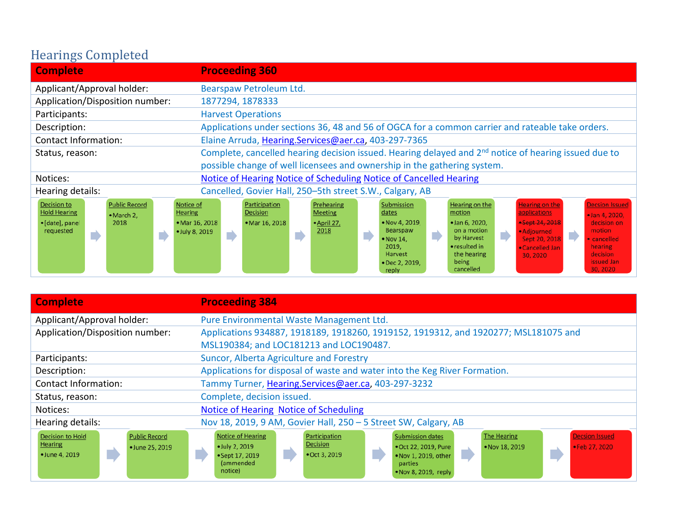## Hearings Completed

| <b>Complete</b>                                                                                                                                      | <b>Proceeding 360</b>                                                                                                                                                                                                                                                                                                                                                                                                                                                                                                                                                                                                                                                                                   |
|------------------------------------------------------------------------------------------------------------------------------------------------------|---------------------------------------------------------------------------------------------------------------------------------------------------------------------------------------------------------------------------------------------------------------------------------------------------------------------------------------------------------------------------------------------------------------------------------------------------------------------------------------------------------------------------------------------------------------------------------------------------------------------------------------------------------------------------------------------------------|
| Applicant/Approval holder:                                                                                                                           | Bearspaw Petroleum Ltd.                                                                                                                                                                                                                                                                                                                                                                                                                                                                                                                                                                                                                                                                                 |
| Application/Disposition number:                                                                                                                      | 1877294, 1878333                                                                                                                                                                                                                                                                                                                                                                                                                                                                                                                                                                                                                                                                                        |
| Participants:                                                                                                                                        | <b>Harvest Operations</b>                                                                                                                                                                                                                                                                                                                                                                                                                                                                                                                                                                                                                                                                               |
| Description:                                                                                                                                         | Applications under sections 36, 48 and 56 of OGCA for a common carrier and rateable take orders.                                                                                                                                                                                                                                                                                                                                                                                                                                                                                                                                                                                                        |
| Contact Information:                                                                                                                                 | Elaine Arruda, Hearing.Services@aer.ca, 403-297-7365                                                                                                                                                                                                                                                                                                                                                                                                                                                                                                                                                                                                                                                    |
| Status, reason:                                                                                                                                      | Complete, cancelled hearing decision issued. Hearing delayed and 2 <sup>nd</sup> notice of hearing issued due to                                                                                                                                                                                                                                                                                                                                                                                                                                                                                                                                                                                        |
|                                                                                                                                                      | possible change of well licensees and ownership in the gathering system.                                                                                                                                                                                                                                                                                                                                                                                                                                                                                                                                                                                                                                |
| Notices:                                                                                                                                             | <b>Notice of Hearing Notice of Scheduling Notice of Cancelled Hearing</b>                                                                                                                                                                                                                                                                                                                                                                                                                                                                                                                                                                                                                               |
| Hearing details:                                                                                                                                     | Cancelled, Govier Hall, 250-5th street S.W., Calgary, AB                                                                                                                                                                                                                                                                                                                                                                                                                                                                                                                                                                                                                                                |
| <b>Public Record</b><br>Notice of<br>Decision to<br><b>Hold Hearing</b><br><b>Hearing</b><br>• March 2,<br>· [date], panel<br>2018<br>requested<br>D | Prehearing<br>Submission<br>Hearing on the<br><b>Decsion Issued</b><br>Participation<br><b>Hearing on the</b><br>applications<br><b>Meeting</b><br>motion<br>Decision<br>dates<br>· Jan 4, 2020,<br><b>-Sept 24, 2018</b><br>• Nov 4, 2019.<br>• Jan 6, 2020,<br>• Mar 16, 2018<br>decision on<br>• Mar 16, 2018<br>• April 27,<br>on a motion<br>2018<br>Bearspaw<br>motion<br>· Adjourned<br>• July 8, 2019<br>$\overrightarrow{ }$<br>D<br>E<br>by Harvest<br>Sept 20, 2018<br>$\bullet$ Nov 14,<br>• cancelled<br>• resulted in<br>2019.<br>hearing<br>• Cancelled Jan<br>the hearing<br>decision<br>Harvest<br>30, 2020<br>issued Jan<br>being<br>• Dec 2, 2019.<br>30, 2020<br>cancelled<br>reply |

| <b>Complete</b>                                                                                        | <b>Proceeding 384</b>                                                                                                                                                                                                                                                                                                                |
|--------------------------------------------------------------------------------------------------------|--------------------------------------------------------------------------------------------------------------------------------------------------------------------------------------------------------------------------------------------------------------------------------------------------------------------------------------|
| Applicant/Approval holder:                                                                             | Pure Environmental Waste Management Ltd.                                                                                                                                                                                                                                                                                             |
| Application/Disposition number:                                                                        | Applications 934887, 1918189, 1918260, 1919152, 1919312, and 1920277; MSL181075 and                                                                                                                                                                                                                                                  |
|                                                                                                        | MSL190384; and LOC181213 and LOC190487.                                                                                                                                                                                                                                                                                              |
| Participants:                                                                                          | Suncor, Alberta Agriculture and Forestry                                                                                                                                                                                                                                                                                             |
| Description:                                                                                           | Applications for disposal of waste and water into the Keg River Formation.                                                                                                                                                                                                                                                           |
| <b>Contact Information:</b>                                                                            | Tammy Turner, Hearing.Services@aer.ca, 403-297-3232                                                                                                                                                                                                                                                                                  |
| Status, reason:                                                                                        | Complete, decision issued.                                                                                                                                                                                                                                                                                                           |
| Notices:                                                                                               | <b>Notice of Hearing Notice of Scheduling</b>                                                                                                                                                                                                                                                                                        |
| Hearing details:                                                                                       | Nov 18, 2019, 9 AM, Govier Hall, 250 - 5 Street SW, Calgary, AB                                                                                                                                                                                                                                                                      |
| <b>Decision to Hold</b><br><b>Public Record</b><br><b>Hearing</b><br>• June 25, 2019<br>• June 4, 2019 | <b>Submission dates</b><br><b>Notice of Hearing</b><br><b>Decsion Issued</b><br>Participation<br>The Hearing<br><b>Decision</b><br>• Oct 22, 2019, Pure<br>• Feb 27, 2020<br>• July 2, 2019<br>• Nov 18, 2019<br>• Oct 3, 2019<br>. Nov 1, 2019, other<br>• Sept 17, 2019<br>(ammended<br>parties<br>notice)<br>. Nov 8, 2019, reply |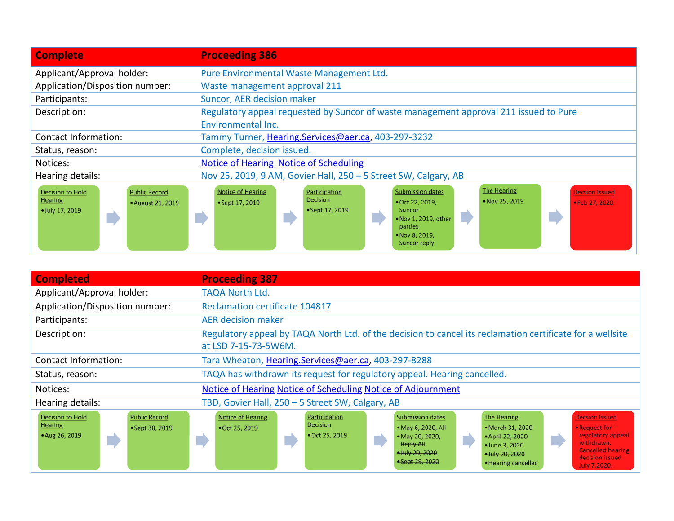| <b>Complete</b>                                                                                           | <b>Proceeding 386</b>                                                                                                                                                                                                                                                                                              |
|-----------------------------------------------------------------------------------------------------------|--------------------------------------------------------------------------------------------------------------------------------------------------------------------------------------------------------------------------------------------------------------------------------------------------------------------|
| Applicant/Approval holder:                                                                                | Pure Environmental Waste Management Ltd.                                                                                                                                                                                                                                                                           |
| Application/Disposition number:                                                                           | Waste management approval 211                                                                                                                                                                                                                                                                                      |
| Participants:                                                                                             | Suncor, AER decision maker                                                                                                                                                                                                                                                                                         |
| Description:                                                                                              | Regulatory appeal requested by Suncor of waste management approval 211 issued to Pure                                                                                                                                                                                                                              |
|                                                                                                           | Environmental Inc.                                                                                                                                                                                                                                                                                                 |
| <b>Contact Information:</b>                                                                               | Tammy Turner, Hearing.Services@aer.ca, 403-297-3232                                                                                                                                                                                                                                                                |
| Status, reason:                                                                                           | Complete, decision issued.                                                                                                                                                                                                                                                                                         |
| Notices:                                                                                                  | <b>Notice of Hearing Notice of Scheduling</b>                                                                                                                                                                                                                                                                      |
| Hearing details:                                                                                          | Nov 25, 2019, 9 AM, Govier Hall, 250 - 5 Street SW, Calgary, AB                                                                                                                                                                                                                                                    |
| <b>Decision to Hold</b><br><b>Public Record</b><br><b>Hearing</b><br>• August 21, 2019<br>· July 17, 2019 | <b>The Hearing</b><br><b>Submission dates</b><br><b>Notice of Hearing</b><br><b>Decsion Issued</b><br>Participation<br><b>Decision</b><br>• Nov 25, 2019<br>• Oct 22, 2019,<br>• Feb 27, 2020<br>• Sept 17, 2019<br>• Sept 17, 2019<br>Suncor<br>. Nov 1, 2019, other<br>parties<br>• Nov 8, 2019,<br>Suncor reply |

| <b>Completed</b>                                                                                       | <b>Proceeding 387</b>                                                                                                                                                                                                                                                                                                                                                                                                                                                          |
|--------------------------------------------------------------------------------------------------------|--------------------------------------------------------------------------------------------------------------------------------------------------------------------------------------------------------------------------------------------------------------------------------------------------------------------------------------------------------------------------------------------------------------------------------------------------------------------------------|
| Applicant/Approval holder:                                                                             | <b>TAQA North Ltd.</b>                                                                                                                                                                                                                                                                                                                                                                                                                                                         |
| Application/Disposition number:                                                                        | <b>Reclamation certificate 104817</b>                                                                                                                                                                                                                                                                                                                                                                                                                                          |
| Participants:                                                                                          | <b>AER decision maker</b>                                                                                                                                                                                                                                                                                                                                                                                                                                                      |
| Description:                                                                                           | Regulatory appeal by TAQA North Ltd. of the decision to cancel its reclamation certificate for a wellsite<br>at LSD 7-15-73-5W6M.                                                                                                                                                                                                                                                                                                                                              |
| Contact Information:                                                                                   | Tara Wheaton, Hearing.Services@aer.ca, 403-297-8288                                                                                                                                                                                                                                                                                                                                                                                                                            |
| Status, reason:                                                                                        | TAQA has withdrawn its request for regulatory appeal. Hearing cancelled.                                                                                                                                                                                                                                                                                                                                                                                                       |
| Notices:                                                                                               | Notice of Hearing Notice of Scheduling Notice of Adjournment                                                                                                                                                                                                                                                                                                                                                                                                                   |
| Hearing details:                                                                                       | TBD, Govier Hall, 250 - 5 Street SW, Calgary, AB                                                                                                                                                                                                                                                                                                                                                                                                                               |
| <b>Decision to Hold</b><br><b>Public Record</b><br><b>Hearing</b><br>• Sept 30, 2019<br>• Aug 26, 2019 | <b>Notice of Hearing</b><br><b>Submission dates</b><br><b>Decsion Issued</b><br>Participation<br>The Hearing<br>Decision<br>*May 6, 2020, All<br>*March 31, 2020<br>• Request for<br>• Oct 25, 2019<br>regolatory appeal<br>• Oct 25, 2019<br>*May 20, 2020,<br>*April 22, 2020<br>withdrawn.<br><b>Reply All</b><br>*June 3, 2020<br><b>Cancelled hearing</b><br>*July 20, 2020<br>*July 20, 2020<br>decision issued<br>*Sept 29, 2020<br>• Hearing cancelled<br>July 7,2020. |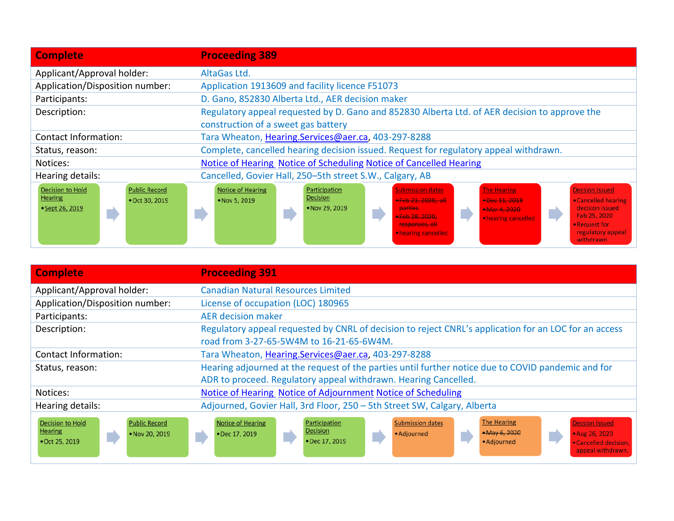| <b>Complete</b>                                                                                        | <b>Proceeding 389</b>                                                                                                                                                                                                                                                                                                                                                                                                                                 |
|--------------------------------------------------------------------------------------------------------|-------------------------------------------------------------------------------------------------------------------------------------------------------------------------------------------------------------------------------------------------------------------------------------------------------------------------------------------------------------------------------------------------------------------------------------------------------|
| Applicant/Approval holder:                                                                             | AltaGas Ltd.                                                                                                                                                                                                                                                                                                                                                                                                                                          |
| Application/Disposition number:                                                                        | Application 1913609 and facility licence F51073                                                                                                                                                                                                                                                                                                                                                                                                       |
| Participants:                                                                                          | D. Gano, 852830 Alberta Ltd., AER decision maker                                                                                                                                                                                                                                                                                                                                                                                                      |
| Description:                                                                                           | Regulatory appeal requested by D. Gano and 852830 Alberta Ltd. of AER decision to approve the<br>construction of a sweet gas battery                                                                                                                                                                                                                                                                                                                  |
| <b>Contact Information:</b>                                                                            | Tara Wheaton, Hearing.Services@aer.ca, 403-297-8288                                                                                                                                                                                                                                                                                                                                                                                                   |
| Status, reason:                                                                                        | Complete, cancelled hearing decision issued. Request for regulatory appeal withdrawn.                                                                                                                                                                                                                                                                                                                                                                 |
| Notices:                                                                                               | Notice of Hearing Notice of Scheduling Notice of Cancelled Hearing                                                                                                                                                                                                                                                                                                                                                                                    |
| Hearing details:                                                                                       | Cancelled, Govier Hall, 250-5th street S.W., Calgary, AB                                                                                                                                                                                                                                                                                                                                                                                              |
| <b>Decision to Hold</b><br><b>Public Record</b><br><b>Hearing</b><br>• Oct 30, 2019<br>• Sept 26, 2019 | <b>Notice of Hearing</b><br><b>Decsion Issued</b><br>Participation<br><b>Submission dates</b><br><b>The Hearing</b><br><b>Decision</b><br>*Feb 21, 2020. all<br>• Cancelled hearing<br>*Dec 11, 2019<br>• Nov 5, 2019<br>decision issued<br>• Nov 29, 2019<br><b>parties</b><br>*Mar 4, 2020<br>Feb 25, 2020<br>$-Feb - 28 - 2020$<br>• hearing cancelled<br>• Request for<br>responses, all<br>regulatory appeal<br>• hearing cancelled<br>withdrawn |

| <b>Complete</b>                                                                                       | <b>Proceeding 391</b>                                                                                                                                                                                                                                                               |
|-------------------------------------------------------------------------------------------------------|-------------------------------------------------------------------------------------------------------------------------------------------------------------------------------------------------------------------------------------------------------------------------------------|
| Applicant/Approval holder:                                                                            | <b>Canadian Natural Resources Limited</b>                                                                                                                                                                                                                                           |
| Application/Disposition number:                                                                       | License of occupation (LOC) 180965                                                                                                                                                                                                                                                  |
| Participants:                                                                                         | <b>AER decision maker</b>                                                                                                                                                                                                                                                           |
| Description:                                                                                          | Regulatory appeal requested by CNRL of decision to reject CNRL's application for an LOC for an access<br>road from 3-27-65-5W4M to 16-21-65-6W4M.                                                                                                                                   |
| Contact Information:                                                                                  | Tara Wheaton, Hearing.Services@aer.ca, 403-297-8288                                                                                                                                                                                                                                 |
| Status, reason:                                                                                       | Hearing adjourned at the request of the parties until further notice due to COVID pandemic and for<br>ADR to proceed. Regulatory appeal withdrawn. Hearing Cancelled.                                                                                                               |
| Notices:                                                                                              | Notice of Hearing Notice of Adjournment Notice of Scheduling                                                                                                                                                                                                                        |
| Hearing details:                                                                                      | Adjourned, Govier Hall, 3rd Floor, 250 - 5th Street SW, Calgary, Alberta                                                                                                                                                                                                            |
| <b>Public Record</b><br><b>Decision to Hold</b><br><b>Hearing</b><br>• Nov 20, 2019<br>• Oct 25, 2019 | <b>The Hearing</b><br><b>Submission dates</b><br><b>Notice of Hearing</b><br>Participation<br><b>Decsion Issued</b><br>Decision<br>$-May 6, 2020$<br>• Aug 26, 2020<br>• Dec 17, 2019<br>• Adjourned<br>• Dec 17, 2019<br>• Adjourned<br>• Cancelled decision.<br>appeal withdrawn. |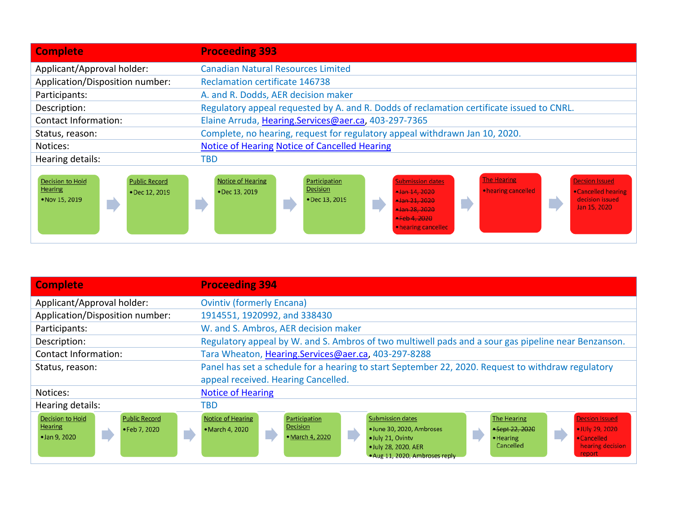| <b>Complete</b>                                                                                       | <b>Proceeding 393</b>                                                                                                                                                                                                                                                                                                                                       |
|-------------------------------------------------------------------------------------------------------|-------------------------------------------------------------------------------------------------------------------------------------------------------------------------------------------------------------------------------------------------------------------------------------------------------------------------------------------------------------|
| Applicant/Approval holder:                                                                            | <b>Canadian Natural Resources Limited</b>                                                                                                                                                                                                                                                                                                                   |
| Application/Disposition number:                                                                       | <b>Reclamation certificate 146738</b>                                                                                                                                                                                                                                                                                                                       |
| Participants:                                                                                         | A. and R. Dodds, AER decision maker                                                                                                                                                                                                                                                                                                                         |
| Description:                                                                                          | Regulatory appeal requested by A. and R. Dodds of reclamation certificate issued to CNRL.                                                                                                                                                                                                                                                                   |
| Contact Information:                                                                                  | Elaine Arruda, Hearing.Services@aer.ca, 403-297-7365                                                                                                                                                                                                                                                                                                        |
| Status, reason:                                                                                       | Complete, no hearing, request for regulatory appeal withdrawn Jan 10, 2020.                                                                                                                                                                                                                                                                                 |
| Notices:                                                                                              | <b>Notice of Hearing Notice of Cancelled Hearing</b>                                                                                                                                                                                                                                                                                                        |
| Hearing details:                                                                                      | <b>TBD</b>                                                                                                                                                                                                                                                                                                                                                  |
| <b>Public Record</b><br><b>Decision to Hold</b><br><b>Hearing</b><br>• Dec 12, 2019<br>• Nov 15, 2019 | <b>The Hearing</b><br><b>Notice of Hearing</b><br><b>Decsion Issued</b><br><b>Submission dates</b><br>Participation<br><b>Decision</b><br>• hearing cancelled<br>• Cancelled hearing<br>• Dec 13, 2019<br>$-$ Jan 14, 2020<br>decision issued<br>• Dec 13, 2019<br>$+$ Jan 21, 2020<br>Jan 15, 2020<br>+Jan 28, 2020<br>$-Feb4.2020$<br>• hearing cancelled |

| <b>Complete</b>                                                                                          | <b>Proceeding 394</b>                                                                                                                                                                                                                                                                                                                                                           |
|----------------------------------------------------------------------------------------------------------|---------------------------------------------------------------------------------------------------------------------------------------------------------------------------------------------------------------------------------------------------------------------------------------------------------------------------------------------------------------------------------|
| Applicant/Approval holder:                                                                               | <b>Ovintiv (formerly Encana)</b>                                                                                                                                                                                                                                                                                                                                                |
| Application/Disposition number:                                                                          | 1914551, 1920992, and 338430                                                                                                                                                                                                                                                                                                                                                    |
| Participants:                                                                                            | W. and S. Ambros, AER decision maker                                                                                                                                                                                                                                                                                                                                            |
| Description:                                                                                             | Regulatory appeal by W. and S. Ambros of two multiwell pads and a sour gas pipeline near Benzanson.                                                                                                                                                                                                                                                                             |
| <b>Contact Information:</b>                                                                              | Tara Wheaton, Hearing.Services@aer.ca, 403-297-8288                                                                                                                                                                                                                                                                                                                             |
| Status, reason:                                                                                          | Panel has set a schedule for a hearing to start September 22, 2020. Request to withdraw regulatory                                                                                                                                                                                                                                                                              |
|                                                                                                          | appeal received. Hearing Cancelled.                                                                                                                                                                                                                                                                                                                                             |
| Notices:                                                                                                 | <b>Notice of Hearing</b>                                                                                                                                                                                                                                                                                                                                                        |
| Hearing details:                                                                                         | TBD                                                                                                                                                                                                                                                                                                                                                                             |
| <b>Decision to Hold</b><br><b>Public Record</b><br><b>Hearing</b><br>• Feb 7, 2020<br>D<br>• Jan 9, 2020 | Notice of Hearing<br><b>Submission dates</b><br>The Hearing<br><b>Decsion Issued</b><br>Participation<br>Decision<br>· June 30, 2020, Ambroses<br>• JUly 29, 2020<br>• March 4, 2020<br>*Sept 22, 2020<br>• March 4, 2020<br>· July 21, Ovinty<br>• Cancelled<br>• Hearing<br>hearing decision<br>Cancelled<br>· July 28, 2020, AER<br>report<br>. Aug 11, 2020, Ambroses reply |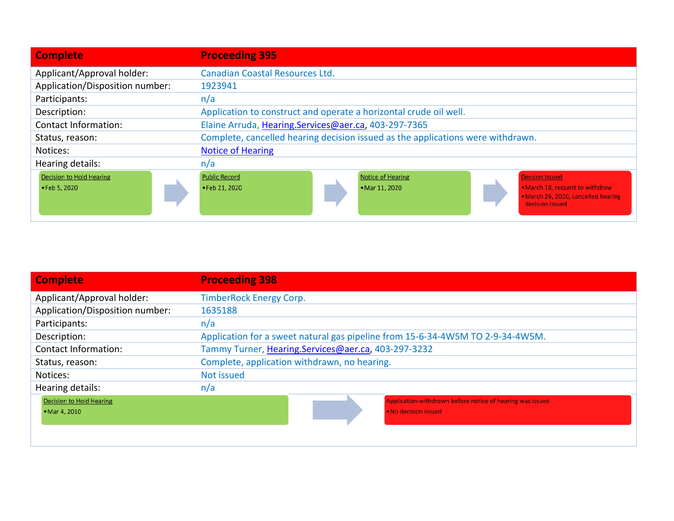| <b>Complete</b>                 | <b>Proceeding 395</b>                                                                                                         |
|---------------------------------|-------------------------------------------------------------------------------------------------------------------------------|
| Applicant/Approval holder:      | Canadian Coastal Resources Ltd.                                                                                               |
| Application/Disposition number: | 1923941                                                                                                                       |
| Participants:                   | n/a                                                                                                                           |
| Description:                    | Application to construct and operate a horizontal crude oil well.                                                             |
| Contact Information:            | Elaine Arruda, Hearing.Services@aer.ca, 403-297-7365                                                                          |
| Status, reason:                 | Complete, cancelled hearing decision issued as the applications were withdrawn.                                               |
| Notices:                        | <b>Notice of Hearing</b>                                                                                                      |
| Hearing details:                | n/a                                                                                                                           |
| <b>Decision to Hold Hearing</b> | <b>Public Record</b><br>Notice of Hearing<br><b>Decsion Issued</b>                                                            |
| • Feb 5, 2020                   | . March 18, request to withdraw<br>• Feb 21, 2020<br>• Mar 11, 2020<br>. March 26, 2020, cancelled hearing<br>decision issued |

| <b>Complete</b>                 | <b>Proceeding 398</b>                                                          |
|---------------------------------|--------------------------------------------------------------------------------|
| Applicant/Approval holder:      | <b>TimberRock Energy Corp.</b>                                                 |
| Application/Disposition number: | 1635188                                                                        |
| Participants:                   | n/a                                                                            |
| Description:                    | Application for a sweet natural gas pipeline from 15-6-34-4W5M TO 2-9-34-4W5M. |
| Contact Information:            | Tammy Turner, Hearing.Services@aer.ca, 403-297-3232                            |
| Status, reason:                 | Complete, application withdrawn, no hearing.                                   |
| Notices:                        | Not issued                                                                     |
| Hearing details:                | n/a                                                                            |
| <b>Decision to Hold Hearing</b> | Application withdrawn before notice of hearing was issued                      |
| • Mar 4, 2010                   | . No decision issued                                                           |